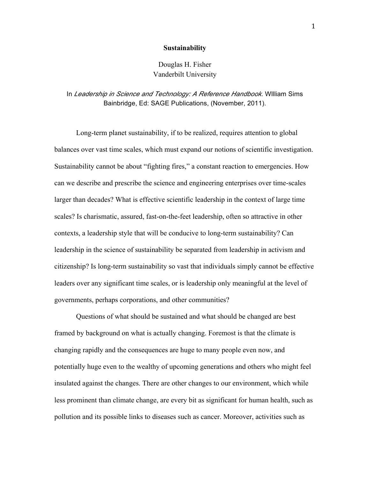#### **Sustainability**

# Douglas H. Fisher Vanderbilt University

# In *Leadership in Science and Technology: A Reference Handbook*. Wllliam Sims Bainbridge, Ed: SAGE Publications, (November, 2011).

Long-term planet sustainability, if to be realized, requires attention to global balances over vast time scales, which must expand our notions of scientific investigation. Sustainability cannot be about "fighting fires," a constant reaction to emergencies. How can we describe and prescribe the science and engineering enterprises over time-scales larger than decades? What is effective scientific leadership in the context of large time scales? Is charismatic, assured, fast-on-the-feet leadership, often so attractive in other contexts, a leadership style that will be conducive to long-term sustainability? Can leadership in the science of sustainability be separated from leadership in activism and citizenship? Is long-term sustainability so vast that individuals simply cannot be effective leaders over any significant time scales, or is leadership only meaningful at the level of governments, perhaps corporations, and other communities?

Questions of what should be sustained and what should be changed are best framed by background on what is actually changing. Foremost is that the climate is changing rapidly and the consequences are huge to many people even now, and potentially huge even to the wealthy of upcoming generations and others who might feel insulated against the changes. There are other changes to our environment, which while less prominent than climate change, are every bit as significant for human health, such as pollution and its possible links to diseases such as cancer. Moreover, activities such as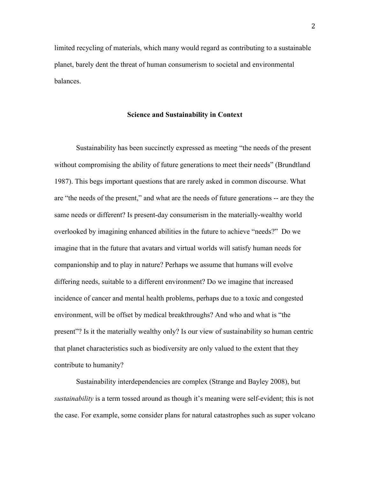limited recycling of materials, which many would regard as contributing to a sustainable planet, barely dent the threat of human consumerism to societal and environmental balances.

### **Science and Sustainability in Context**

Sustainability has been succinctly expressed as meeting "the needs of the present without compromising the ability of future generations to meet their needs" (Brundtland 1987). This begs important questions that are rarely asked in common discourse. What are "the needs of the present," and what are the needs of future generations -- are they the same needs or different? Is present-day consumerism in the materially-wealthy world overlooked by imagining enhanced abilities in the future to achieve "needs?" Do we imagine that in the future that avatars and virtual worlds will satisfy human needs for companionship and to play in nature? Perhaps we assume that humans will evolve differing needs, suitable to a different environment? Do we imagine that increased incidence of cancer and mental health problems, perhaps due to a toxic and congested environment, will be offset by medical breakthroughs? And who and what is "the present"? Is it the materially wealthy only? Is our view of sustainability so human centric that planet characteristics such as biodiversity are only valued to the extent that they contribute to humanity?

Sustainability interdependencies are complex (Strange and Bayley 2008), but *sustainability* is a term tossed around as though it's meaning were self-evident; this is not the case. For example, some consider plans for natural catastrophes such as super volcano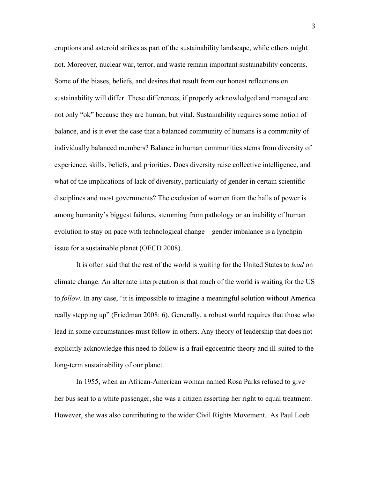eruptions and asteroid strikes as part of the sustainability landscape, while others might not. Moreover, nuclear war, terror, and waste remain important sustainability concerns. Some of the biases, beliefs, and desires that result from our honest reflections on sustainability will differ. These differences, if properly acknowledged and managed are not only "ok" because they are human, but vital. Sustainability requires some notion of balance, and is it ever the case that a balanced community of humans is a community of individually balanced members? Balance in human communities stems from diversity of experience, skills, beliefs, and priorities. Does diversity raise collective intelligence, and what of the implications of lack of diversity, particularly of gender in certain scientific disciplines and most governments? The exclusion of women from the halls of power is among humanity's biggest failures, stemming from pathology or an inability of human evolution to stay on pace with technological change – gender imbalance is a lynchpin issue for a sustainable planet (OECD 2008).

It is often said that the rest of the world is waiting for the United States to *lead* on climate change. An alternate interpretation is that much of the world is waiting for the US to *follow*. In any case, "it is impossible to imagine a meaningful solution without America really stepping up" (Friedman 2008: 6). Generally, a robust world requires that those who lead in some circumstances must follow in others. Any theory of leadership that does not explicitly acknowledge this need to follow is a frail egocentric theory and ill-suited to the long-term sustainability of our planet.

In 1955, when an African-American woman named Rosa Parks refused to give her bus seat to a white passenger, she was a citizen asserting her right to equal treatment. However, she was also contributing to the wider Civil Rights Movement. As Paul Loeb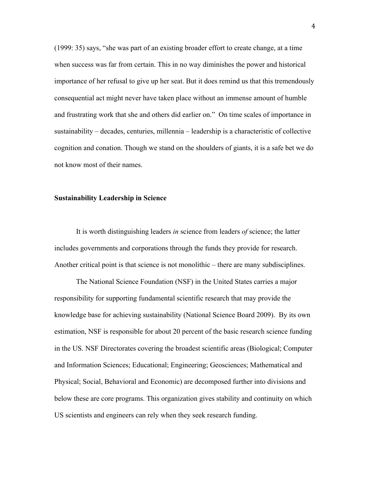(1999: 35) says, "she was part of an existing broader effort to create change, at a time when success was far from certain. This in no way diminishes the power and historical importance of her refusal to give up her seat. But it does remind us that this tremendously consequential act might never have taken place without an immense amount of humble and frustrating work that she and others did earlier on." On time scales of importance in sustainability – decades, centuries, millennia – leadership is a characteristic of collective cognition and conation. Though we stand on the shoulders of giants, it is a safe bet we do not know most of their names.

## **Sustainability Leadership in Science**

It is worth distinguishing leaders *in* science from leaders *of* science; the latter includes governments and corporations through the funds they provide for research. Another critical point is that science is not monolithic – there are many subdisciplines.

The National Science Foundation (NSF) in the United States carries a major responsibility for supporting fundamental scientific research that may provide the knowledge base for achieving sustainability (National Science Board 2009). By its own estimation, NSF is responsible for about 20 percent of the basic research science funding in the US. NSF Directorates covering the broadest scientific areas (Biological; Computer and Information Sciences; Educational; Engineering; Geosciences; Mathematical and Physical; Social, Behavioral and Economic) are decomposed further into divisions and below these are core programs. This organization gives stability and continuity on which US scientists and engineers can rely when they seek research funding.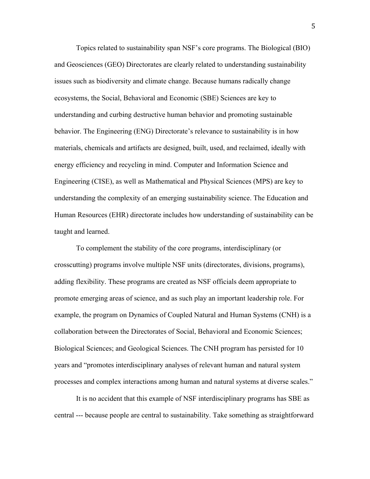Topics related to sustainability span NSF's core programs. The Biological (BIO) and Geosciences (GEO) Directorates are clearly related to understanding sustainability issues such as biodiversity and climate change. Because humans radically change ecosystems, the Social, Behavioral and Economic (SBE) Sciences are key to understanding and curbing destructive human behavior and promoting sustainable behavior. The Engineering (ENG) Directorate's relevance to sustainability is in how materials, chemicals and artifacts are designed, built, used, and reclaimed, ideally with energy efficiency and recycling in mind. Computer and Information Science and Engineering (CISE), as well as Mathematical and Physical Sciences (MPS) are key to understanding the complexity of an emerging sustainability science. The Education and Human Resources (EHR) directorate includes how understanding of sustainability can be taught and learned.

To complement the stability of the core programs, interdisciplinary (or crosscutting) programs involve multiple NSF units (directorates, divisions, programs), adding flexibility. These programs are created as NSF officials deem appropriate to promote emerging areas of science, and as such play an important leadership role. For example, the program on Dynamics of Coupled Natural and Human Systems (CNH) is a collaboration between the Directorates of Social, Behavioral and Economic Sciences; Biological Sciences; and Geological Sciences. The CNH program has persisted for 10 years and "promotes interdisciplinary analyses of relevant human and natural system processes and complex interactions among human and natural systems at diverse scales."

It is no accident that this example of NSF interdisciplinary programs has SBE as central --- because people are central to sustainability. Take something as straightforward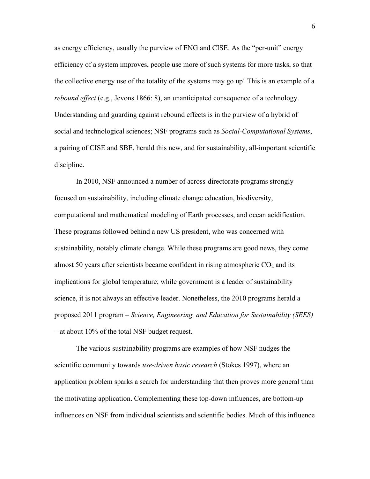as energy efficiency, usually the purview of ENG and CISE. As the "per-unit" energy efficiency of a system improves, people use more of such systems for more tasks, so that the collective energy use of the totality of the systems may go up! This is an example of a *rebound effect* (e.g., Jevons 1866: 8), an unanticipated consequence of a technology. Understanding and guarding against rebound effects is in the purview of a hybrid of social and technological sciences; NSF programs such as *Social-Computational Systems*, a pairing of CISE and SBE, herald this new, and for sustainability, all-important scientific discipline.

In 2010, NSF announced a number of across-directorate programs strongly focused on sustainability, including climate change education, biodiversity, computational and mathematical modeling of Earth processes, and ocean acidification. These programs followed behind a new US president, who was concerned with sustainability, notably climate change. While these programs are good news, they come almost 50 years after scientists became confident in rising atmospheric  $CO<sub>2</sub>$  and its implications for global temperature; while government is a leader of sustainability science, it is not always an effective leader. Nonetheless, the 2010 programs herald a proposed 2011 program – *Science, Engineering, and Education for Sustainability (SEES)* – at about 10% of the total NSF budget request.

The various sustainability programs are examples of how NSF nudges the scientific community towards *use-driven basic research* (Stokes 1997), where an application problem sparks a search for understanding that then proves more general than the motivating application. Complementing these top-down influences, are bottom-up influences on NSF from individual scientists and scientific bodies. Much of this influence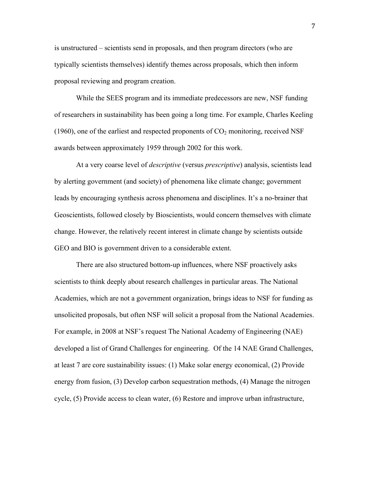is unstructured – scientists send in proposals, and then program directors (who are typically scientists themselves) identify themes across proposals, which then inform proposal reviewing and program creation.

While the SEES program and its immediate predecessors are new, NSF funding of researchers in sustainability has been going a long time. For example, Charles Keeling (1960), one of the earliest and respected proponents of  $CO<sub>2</sub>$  monitoring, received NSF awards between approximately 1959 through 2002 for this work.

At a very coarse level of *descriptive* (versus *prescriptive*) analysis, scientists lead by alerting government (and society) of phenomena like climate change; government leads by encouraging synthesis across phenomena and disciplines. It's a no-brainer that Geoscientists, followed closely by Bioscientists, would concern themselves with climate change. However, the relatively recent interest in climate change by scientists outside GEO and BIO is government driven to a considerable extent.

There are also structured bottom-up influences, where NSF proactively asks scientists to think deeply about research challenges in particular areas. The National Academies, which are not a government organization, brings ideas to NSF for funding as unsolicited proposals, but often NSF will solicit a proposal from the National Academies. For example, in 2008 at NSF's request The National Academy of Engineering (NAE) developed a list of Grand Challenges for engineering. Of the 14 NAE Grand Challenges, at least 7 are core sustainability issues: (1) Make solar energy economical, (2) Provide energy from fusion, (3) Develop carbon sequestration methods, (4) Manage the nitrogen cycle, (5) Provide access to clean water, (6) Restore and improve urban infrastructure,

7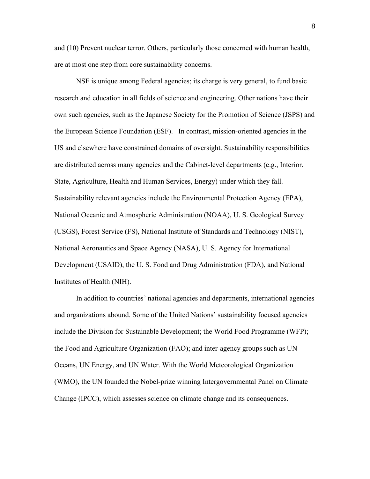and (10) Prevent nuclear terror. Others, particularly those concerned with human health, are at most one step from core sustainability concerns.

NSF is unique among Federal agencies; its charge is very general, to fund basic research and education in all fields of science and engineering. Other nations have their own such agencies, such as the Japanese Society for the Promotion of Science (JSPS) and the European Science Foundation (ESF). In contrast, mission-oriented agencies in the US and elsewhere have constrained domains of oversight. Sustainability responsibilities are distributed across many agencies and the Cabinet-level departments (e.g., Interior, State, Agriculture, Health and Human Services, Energy) under which they fall. Sustainability relevant agencies include the Environmental Protection Agency (EPA), National Oceanic and Atmospheric Administration (NOAA), U. S. Geological Survey (USGS), Forest Service (FS), National Institute of Standards and Technology (NIST), National Aeronautics and Space Agency (NASA), U. S. Agency for International Development (USAID), the U. S. Food and Drug Administration (FDA), and National Institutes of Health (NIH).

In addition to countries' national agencies and departments, international agencies and organizations abound. Some of the United Nations' sustainability focused agencies include the Division for Sustainable Development; the World Food Programme (WFP); the Food and Agriculture Organization (FAO); and inter-agency groups such as UN Oceans, UN Energy, and UN Water. With the World Meteorological Organization (WMO), the UN founded the Nobel-prize winning Intergovernmental Panel on Climate Change (IPCC), which assesses science on climate change and its consequences.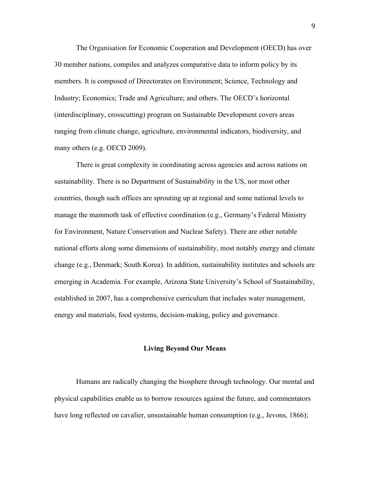The Organisation for Economic Cooperation and Development (OECD) has over 30 member nations, compiles and analyzes comparative data to inform policy by its members. It is composed of Directorates on Environment; Science, Technology and Industry; Economics; Trade and Agriculture; and others. The OECD's horizontal (interdisciplinary, crosscutting) program on Sustainable Development covers areas ranging from climate change, agriculture, environmental indicators, biodiversity, and many others (e.g. OECD 2009).

There is great complexity in coordinating across agencies and across nations on sustainability. There is no Department of Sustainability in the US, nor most other countries, though such offices are sprouting up at regional and some national levels to manage the mammoth task of effective coordination (e.g., Germany's Federal Ministry for Environment, Nature Conservation and Nuclear Safety). There are other notable national efforts along some dimensions of sustainability, most notably energy and climate change (e.g., Denmark; South Korea). In addition, sustainability institutes and schools are emerging in Academia. For example, Arizona State University's School of Sustainability, established in 2007, has a comprehensive curriculum that includes water management, energy and materials, food systems, decision-making, policy and governance.

#### **Living Beyond Our Means**

Humans are radically changing the biosphere through technology. Our mental and physical capabilities enable us to borrow resources against the future, and commentators have long reflected on cavalier, unsustainable human consumption (e.g., Jevons, 1866);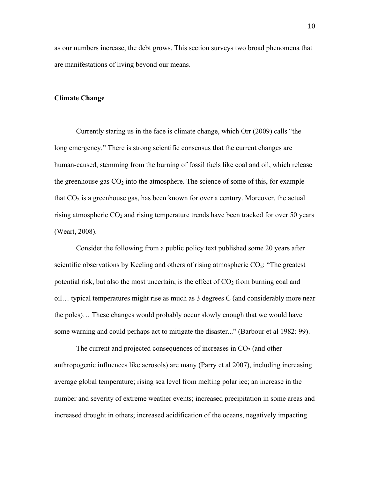as our numbers increase, the debt grows. This section surveys two broad phenomena that are manifestations of living beyond our means.

#### **Climate Change**

Currently staring us in the face is climate change, which Orr (2009) calls "the long emergency." There is strong scientific consensus that the current changes are human-caused, stemming from the burning of fossil fuels like coal and oil, which release the greenhouse gas  $CO<sub>2</sub>$  into the atmosphere. The science of some of this, for example that  $CO<sub>2</sub>$  is a greenhouse gas, has been known for over a century. Moreover, the actual rising atmospheric  $CO<sub>2</sub>$  and rising temperature trends have been tracked for over 50 years (Weart, 2008).

Consider the following from a public policy text published some 20 years after scientific observations by Keeling and others of rising atmospheric  $CO<sub>2</sub>$ : "The greatest potential risk, but also the most uncertain, is the effect of  $CO<sub>2</sub>$  from burning coal and oil… typical temperatures might rise as much as 3 degrees C (and considerably more near the poles)… These changes would probably occur slowly enough that we would have some warning and could perhaps act to mitigate the disaster..." (Barbour et al 1982: 99).

The current and projected consequences of increases in  $CO<sub>2</sub>$  (and other anthropogenic influences like aerosols) are many (Parry et al 2007), including increasing average global temperature; rising sea level from melting polar ice; an increase in the number and severity of extreme weather events; increased precipitation in some areas and increased drought in others; increased acidification of the oceans, negatively impacting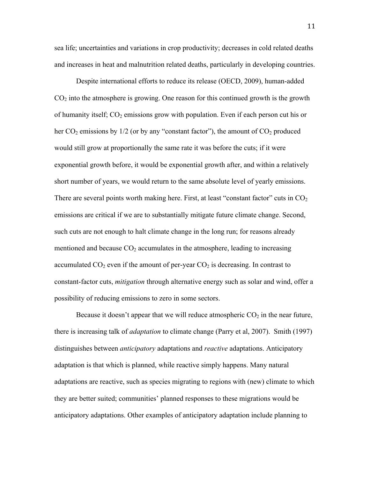sea life; uncertainties and variations in crop productivity; decreases in cold related deaths and increases in heat and malnutrition related deaths, particularly in developing countries.

Despite international efforts to reduce its release (OECD, 2009), human-added  $CO<sub>2</sub>$  into the atmosphere is growing. One reason for this continued growth is the growth of humanity itself;  $CO<sub>2</sub>$  emissions grow with population. Even if each person cut his or her  $CO_2$  emissions by  $1/2$  (or by any "constant factor"), the amount of  $CO_2$  produced would still grow at proportionally the same rate it was before the cuts; if it were exponential growth before, it would be exponential growth after, and within a relatively short number of years, we would return to the same absolute level of yearly emissions. There are several points worth making here. First, at least "constant factor" cuts in  $CO<sub>2</sub>$ emissions are critical if we are to substantially mitigate future climate change. Second, such cuts are not enough to halt climate change in the long run; for reasons already mentioned and because  $CO<sub>2</sub>$  accumulates in the atmosphere, leading to increasing accumulated  $CO_2$  even if the amount of per-year  $CO_2$  is decreasing. In contrast to constant-factor cuts, *mitigation* through alternative energy such as solar and wind, offer a possibility of reducing emissions to zero in some sectors.

Because it doesn't appear that we will reduce atmospheric  $CO<sub>2</sub>$  in the near future, there is increasing talk of *adaptation* to climate change (Parry et al, 2007). Smith (1997) distinguishes between *anticipatory* adaptations and *reactive* adaptations. Anticipatory adaptation is that which is planned, while reactive simply happens. Many natural adaptations are reactive, such as species migrating to regions with (new) climate to which they are better suited; communities' planned responses to these migrations would be anticipatory adaptations. Other examples of anticipatory adaptation include planning to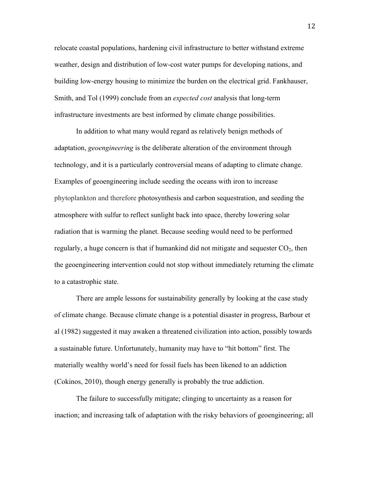relocate coastal populations, hardening civil infrastructure to better withstand extreme weather, design and distribution of low-cost water pumps for developing nations, and building low-energy housing to minimize the burden on the electrical grid. Fankhauser, Smith, and Tol (1999) conclude from an *expected cost* analysis that long-term infrastructure investments are best informed by climate change possibilities.

In addition to what many would regard as relatively benign methods of adaptation, *geoengineering* is the deliberate alteration of the environment through technology, and it is a particularly controversial means of adapting to climate change. Examples of geoengineering include seeding the oceans with iron to increase phytoplankton and therefore photosynthesis and carbon sequestration, and seeding the atmosphere with sulfur to reflect sunlight back into space, thereby lowering solar radiation that is warming the planet. Because seeding would need to be performed regularly, a huge concern is that if humankind did not mitigate and sequester  $CO<sub>2</sub>$ , then the geoengineering intervention could not stop without immediately returning the climate to a catastrophic state.

There are ample lessons for sustainability generally by looking at the case study of climate change. Because climate change is a potential disaster in progress, Barbour et al (1982) suggested it may awaken a threatened civilization into action, possibly towards a sustainable future. Unfortunately, humanity may have to "hit bottom" first. The materially wealthy world's need for fossil fuels has been likened to an addiction (Cokinos, 2010), though energy generally is probably the true addiction.

The failure to successfully mitigate; clinging to uncertainty as a reason for inaction; and increasing talk of adaptation with the risky behaviors of geoengineering; all

12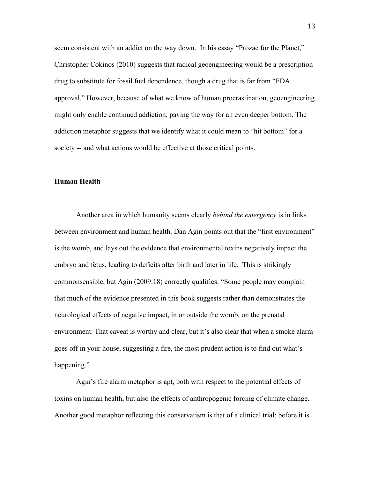seem consistent with an addict on the way down. In his essay "Prozac for the Planet," Christopher Cokinos (2010) suggests that radical geoengineering would be a prescription drug to substitute for fossil fuel dependence, though a drug that is far from "FDA approval." However, because of what we know of human procrastination, geoengineering might only enable continued addiction, paving the way for an even deeper bottom. The addiction metaphor suggests that we identify what it could mean to "hit bottom" for a society -- and what actions would be effective at those critical points.

### **Human Health**

Another area in which humanity seems clearly *behind the emergency* is in links between environment and human health. Dan Agin points out that the "first environment" is the womb, and lays out the evidence that environmental toxins negatively impact the embryo and fetus, leading to deficits after birth and later in life. This is strikingly commonsensible, but Agin (2009:18) correctly qualifies: "Some people may complain that much of the evidence presented in this book suggests rather than demonstrates the neurological effects of negative impact, in or outside the womb, on the prenatal environment. That caveat is worthy and clear, but it's also clear that when a smoke alarm goes off in your house, suggesting a fire, the most prudent action is to find out what's happening."

Agin's fire alarm metaphor is apt, both with respect to the potential effects of toxins on human health, but also the effects of anthropogenic forcing of climate change. Another good metaphor reflecting this conservatism is that of a clinical trial: before it is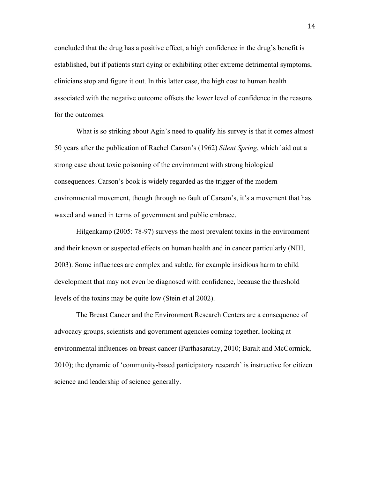concluded that the drug has a positive effect, a high confidence in the drug's benefit is established, but if patients start dying or exhibiting other extreme detrimental symptoms, clinicians stop and figure it out. In this latter case, the high cost to human health associated with the negative outcome offsets the lower level of confidence in the reasons for the outcomes.

What is so striking about Agin's need to qualify his survey is that it comes almost 50 years after the publication of Rachel Carson's (1962) *Silent Spring*, which laid out a strong case about toxic poisoning of the environment with strong biological consequences. Carson's book is widely regarded as the trigger of the modern environmental movement, though through no fault of Carson's, it's a movement that has waxed and waned in terms of government and public embrace.

Hilgenkamp (2005: 78-97) surveys the most prevalent toxins in the environment and their known or suspected effects on human health and in cancer particularly (NIH, 2003). Some influences are complex and subtle, for example insidious harm to child development that may not even be diagnosed with confidence, because the threshold levels of the toxins may be quite low (Stein et al 2002).

The Breast Cancer and the Environment Research Centers are a consequence of advocacy groups, scientists and government agencies coming together, looking at environmental influences on breast cancer (Parthasarathy, 2010; Baralt and McCormick, 2010); the dynamic of 'community-based participatory research' is instructive for citizen science and leadership of science generally.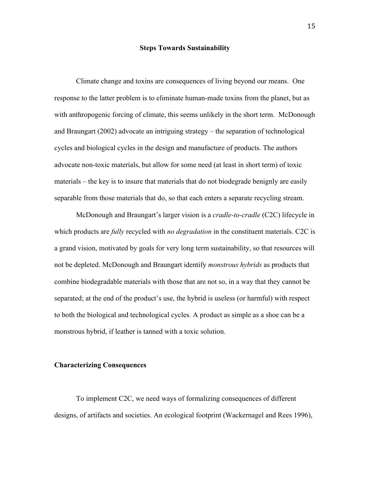### **Steps Towards Sustainability**

Climate change and toxins are consequences of living beyond our means. One response to the latter problem is to eliminate human-made toxins from the planet, but as with anthropogenic forcing of climate, this seems unlikely in the short term. McDonough and Braungart (2002) advocate an intriguing strategy – the separation of technological cycles and biological cycles in the design and manufacture of products. The authors advocate non-toxic materials, but allow for some need (at least in short term) of toxic materials – the key is to insure that materials that do not biodegrade benignly are easily separable from those materials that do, so that each enters a separate recycling stream.

McDonough and Braungart's larger vision is a *cradle-to-cradle* (C2C) lifecycle in which products are *fully* recycled with *no degradation* in the constituent materials. C2C is a grand vision, motivated by goals for very long term sustainability, so that resources will not be depleted. McDonough and Braungart identify *monstrous hybrids* as products that combine biodegradable materials with those that are not so, in a way that they cannot be separated; at the end of the product's use, the hybrid is useless (or harmful) with respect to both the biological and technological cycles. A product as simple as a shoe can be a monstrous hybrid, if leather is tanned with a toxic solution.

## **Characterizing Consequences**

To implement C2C, we need ways of formalizing consequences of different designs, of artifacts and societies. An ecological footprint (Wackernagel and Rees 1996),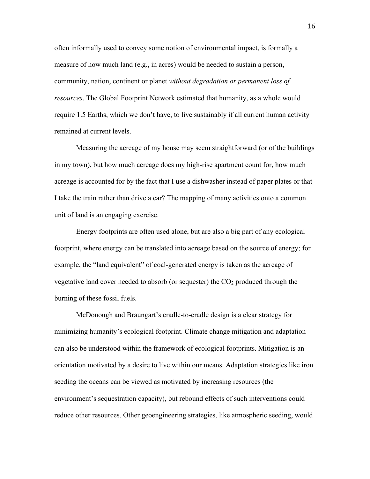often informally used to convey some notion of environmental impact, is formally a measure of how much land (e.g., in acres) would be needed to sustain a person, community, nation, continent or planet *without degradation or permanent loss of resources*. The Global Footprint Network estimated that humanity, as a whole would require 1.5 Earths, which we don't have, to live sustainably if all current human activity remained at current levels.

Measuring the acreage of my house may seem straightforward (or of the buildings in my town), but how much acreage does my high-rise apartment count for, how much acreage is accounted for by the fact that I use a dishwasher instead of paper plates or that I take the train rather than drive a car? The mapping of many activities onto a common unit of land is an engaging exercise.

Energy footprints are often used alone, but are also a big part of any ecological footprint, where energy can be translated into acreage based on the source of energy; for example, the "land equivalent" of coal-generated energy is taken as the acreage of vegetative land cover needed to absorb (or sequester) the  $CO<sub>2</sub>$  produced through the burning of these fossil fuels.

McDonough and Braungart's cradle-to-cradle design is a clear strategy for minimizing humanity's ecological footprint. Climate change mitigation and adaptation can also be understood within the framework of ecological footprints. Mitigation is an orientation motivated by a desire to live within our means. Adaptation strategies like iron seeding the oceans can be viewed as motivated by increasing resources (the environment's sequestration capacity), but rebound effects of such interventions could reduce other resources. Other geoengineering strategies, like atmospheric seeding, would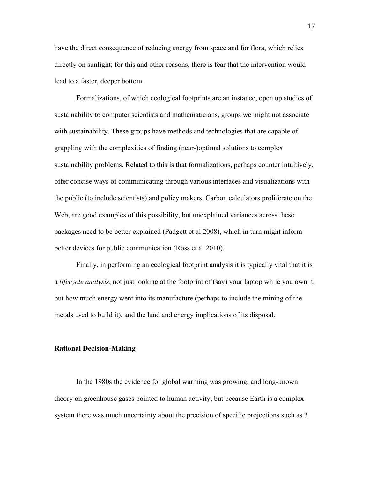have the direct consequence of reducing energy from space and for flora, which relies directly on sunlight; for this and other reasons, there is fear that the intervention would lead to a faster, deeper bottom.

Formalizations, of which ecological footprints are an instance, open up studies of sustainability to computer scientists and mathematicians, groups we might not associate with sustainability. These groups have methods and technologies that are capable of grappling with the complexities of finding (near-)optimal solutions to complex sustainability problems. Related to this is that formalizations, perhaps counter intuitively, offer concise ways of communicating through various interfaces and visualizations with the public (to include scientists) and policy makers. Carbon calculators proliferate on the Web, are good examples of this possibility, but unexplained variances across these packages need to be better explained (Padgett et al 2008), which in turn might inform better devices for public communication (Ross et al 2010).

Finally, in performing an ecological footprint analysis it is typically vital that it is a *lifecycle analysis*, not just looking at the footprint of (say) your laptop while you own it, but how much energy went into its manufacture (perhaps to include the mining of the metals used to build it), and the land and energy implications of its disposal.

### **Rational Decision-Making**

In the 1980s the evidence for global warming was growing, and long-known theory on greenhouse gases pointed to human activity, but because Earth is a complex system there was much uncertainty about the precision of specific projections such as 3

17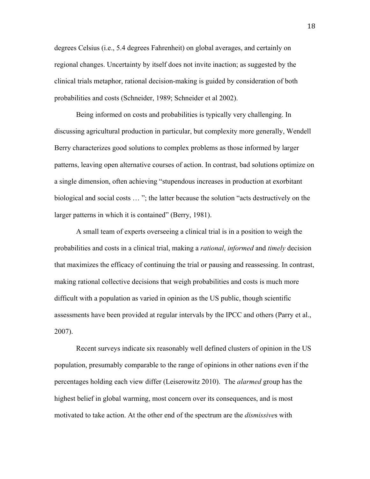degrees Celsius (i.e., 5.4 degrees Fahrenheit) on global averages, and certainly on regional changes. Uncertainty by itself does not invite inaction; as suggested by the clinical trials metaphor, rational decision-making is guided by consideration of both probabilities and costs (Schneider, 1989; Schneider et al 2002).

Being informed on costs and probabilities is typically very challenging. In discussing agricultural production in particular, but complexity more generally, Wendell Berry characterizes good solutions to complex problems as those informed by larger patterns, leaving open alternative courses of action. In contrast, bad solutions optimize on a single dimension, often achieving "stupendous increases in production at exorbitant biological and social costs … "; the latter because the solution "acts destructively on the larger patterns in which it is contained" (Berry, 1981).

A small team of experts overseeing a clinical trial is in a position to weigh the probabilities and costs in a clinical trial, making a *rational*, *informed* and *timely* decision that maximizes the efficacy of continuing the trial or pausing and reassessing. In contrast, making rational collective decisions that weigh probabilities and costs is much more difficult with a population as varied in opinion as the US public, though scientific assessments have been provided at regular intervals by the IPCC and others (Parry et al., 2007).

Recent surveys indicate six reasonably well defined clusters of opinion in the US population, presumably comparable to the range of opinions in other nations even if the percentages holding each view differ (Leiserowitz 2010). The *alarmed* group has the highest belief in global warming, most concern over its consequences, and is most motivated to take action. At the other end of the spectrum are the *dismissive*s with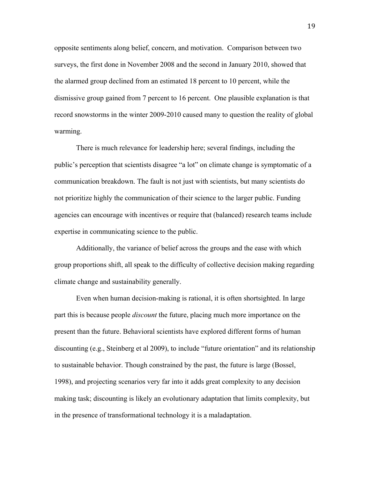opposite sentiments along belief, concern, and motivation. Comparison between two surveys, the first done in November 2008 and the second in January 2010, showed that the alarmed group declined from an estimated 18 percent to 10 percent, while the dismissive group gained from 7 percent to 16 percent. One plausible explanation is that record snowstorms in the winter 2009-2010 caused many to question the reality of global warming.

There is much relevance for leadership here; several findings, including the public's perception that scientists disagree "a lot" on climate change is symptomatic of a communication breakdown. The fault is not just with scientists, but many scientists do not prioritize highly the communication of their science to the larger public. Funding agencies can encourage with incentives or require that (balanced) research teams include expertise in communicating science to the public.

Additionally, the variance of belief across the groups and the ease with which group proportions shift, all speak to the difficulty of collective decision making regarding climate change and sustainability generally.

Even when human decision-making is rational, it is often shortsighted. In large part this is because people *discount* the future, placing much more importance on the present than the future. Behavioral scientists have explored different forms of human discounting (e.g., Steinberg et al 2009), to include "future orientation" and its relationship to sustainable behavior. Though constrained by the past, the future is large (Bossel, 1998), and projecting scenarios very far into it adds great complexity to any decision making task; discounting is likely an evolutionary adaptation that limits complexity, but in the presence of transformational technology it is a maladaptation.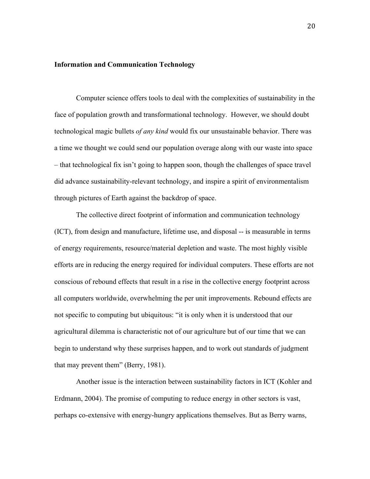## **Information and Communication Technology**

Computer science offers tools to deal with the complexities of sustainability in the face of population growth and transformational technology. However, we should doubt technological magic bullets *of any kind* would fix our unsustainable behavior. There was a time we thought we could send our population overage along with our waste into space – that technological fix isn't going to happen soon, though the challenges of space travel did advance sustainability-relevant technology, and inspire a spirit of environmentalism through pictures of Earth against the backdrop of space.

The collective direct footprint of information and communication technology (ICT), from design and manufacture, lifetime use, and disposal -- is measurable in terms of energy requirements, resource/material depletion and waste. The most highly visible efforts are in reducing the energy required for individual computers. These efforts are not conscious of rebound effects that result in a rise in the collective energy footprint across all computers worldwide, overwhelming the per unit improvements. Rebound effects are not specific to computing but ubiquitous: "it is only when it is understood that our agricultural dilemma is characteristic not of our agriculture but of our time that we can begin to understand why these surprises happen, and to work out standards of judgment that may prevent them" (Berry, 1981).

Another issue is the interaction between sustainability factors in ICT (Kohler and Erdmann, 2004). The promise of computing to reduce energy in other sectors is vast, perhaps co-extensive with energy-hungry applications themselves. But as Berry warns,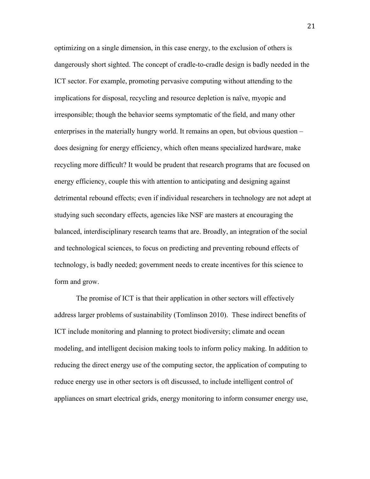optimizing on a single dimension, in this case energy, to the exclusion of others is dangerously short sighted. The concept of cradle-to-cradle design is badly needed in the ICT sector. For example, promoting pervasive computing without attending to the implications for disposal, recycling and resource depletion is naïve, myopic and irresponsible; though the behavior seems symptomatic of the field, and many other enterprises in the materially hungry world. It remains an open, but obvious question – does designing for energy efficiency, which often means specialized hardware, make recycling more difficult? It would be prudent that research programs that are focused on energy efficiency, couple this with attention to anticipating and designing against detrimental rebound effects; even if individual researchers in technology are not adept at studying such secondary effects, agencies like NSF are masters at encouraging the balanced, interdisciplinary research teams that are. Broadly, an integration of the social and technological sciences, to focus on predicting and preventing rebound effects of technology, is badly needed; government needs to create incentives for this science to form and grow.

The promise of ICT is that their application in other sectors will effectively address larger problems of sustainability (Tomlinson 2010). These indirect benefits of ICT include monitoring and planning to protect biodiversity; climate and ocean modeling, and intelligent decision making tools to inform policy making. In addition to reducing the direct energy use of the computing sector, the application of computing to reduce energy use in other sectors is oft discussed, to include intelligent control of appliances on smart electrical grids, energy monitoring to inform consumer energy use,

21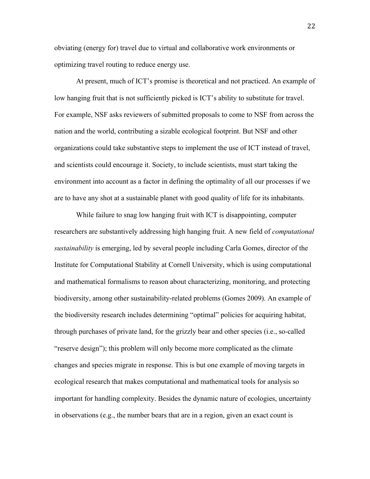obviating (energy for) travel due to virtual and collaborative work environments or optimizing travel routing to reduce energy use.

At present, much of ICT's promise is theoretical and not practiced. An example of low hanging fruit that is not sufficiently picked is ICT's ability to substitute for travel. For example, NSF asks reviewers of submitted proposals to come to NSF from across the nation and the world, contributing a sizable ecological footprint. But NSF and other organizations could take substantive steps to implement the use of ICT instead of travel, and scientists could encourage it. Society, to include scientists, must start taking the environment into account as a factor in defining the optimality of all our processes if we are to have any shot at a sustainable planet with good quality of life for its inhabitants.

While failure to snag low hanging fruit with ICT is disappointing, computer researchers are substantively addressing high hanging fruit. A new field of *computational sustainability* is emerging, led by several people including Carla Gomes, director of the Institute for Computational Stability at Cornell University, which is using computational and mathematical formalisms to reason about characterizing, monitoring, and protecting biodiversity, among other sustainability-related problems (Gomes 2009). An example of the biodiversity research includes determining "optimal" policies for acquiring habitat, through purchases of private land, for the grizzly bear and other species (i.e., so-called "reserve design"); this problem will only become more complicated as the climate changes and species migrate in response. This is but one example of moving targets in ecological research that makes computational and mathematical tools for analysis so important for handling complexity. Besides the dynamic nature of ecologies, uncertainty in observations (e.g., the number bears that are in a region, given an exact count is

22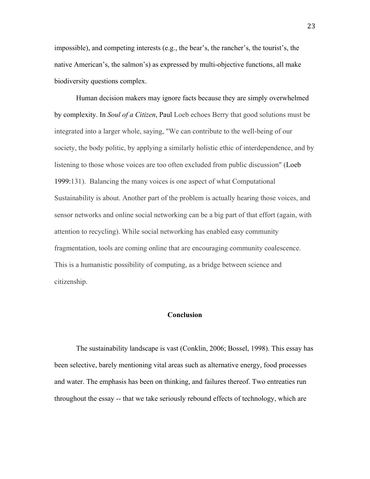impossible), and competing interests (e.g., the bear's, the rancher's, the tourist's, the native American's, the salmon's) as expressed by multi-objective functions, all make biodiversity questions complex.

Human decision makers may ignore facts because they are simply overwhelmed by complexity. In *Soul of a Citizen*, Paul Loeb echoes Berry that good solutions must be integrated into a larger whole, saying, "We can contribute to the well-being of our society, the body politic, by applying a similarly holistic ethic of interdependence, and by listening to those whose voices are too often excluded from public discussion" (Loeb 1999:131). Balancing the many voices is one aspect of what Computational Sustainability is about. Another part of the problem is actually hearing those voices, and sensor networks and online social networking can be a big part of that effort (again, with attention to recycling). While social networking has enabled easy community fragmentation, tools are coming online that are encouraging community coalescence. This is a humanistic possibility of computing, as a bridge between science and citizenship.

## **Conclusion**

The sustainability landscape is vast (Conklin, 2006; Bossel, 1998). This essay has been selective, barely mentioning vital areas such as alternative energy, food processes and water. The emphasis has been on thinking, and failures thereof. Two entreaties run throughout the essay -- that we take seriously rebound effects of technology, which are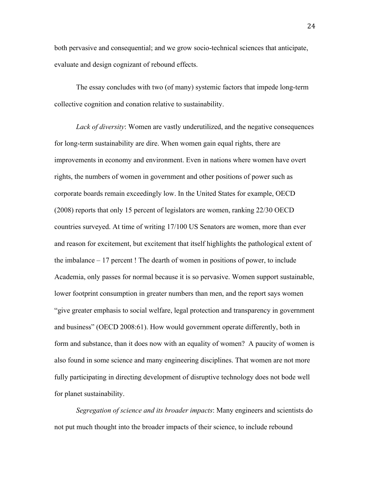both pervasive and consequential; and we grow socio-technical sciences that anticipate, evaluate and design cognizant of rebound effects.

The essay concludes with two (of many) systemic factors that impede long-term collective cognition and conation relative to sustainability.

*Lack of diversity*: Women are vastly underutilized, and the negative consequences for long-term sustainability are dire. When women gain equal rights, there are improvements in economy and environment. Even in nations where women have overt rights, the numbers of women in government and other positions of power such as corporate boards remain exceedingly low. In the United States for example, OECD (2008) reports that only 15 percent of legislators are women, ranking 22/30 OECD countries surveyed. At time of writing 17/100 US Senators are women, more than ever and reason for excitement, but excitement that itself highlights the pathological extent of the imbalance – 17 percent ! The dearth of women in positions of power, to include Academia, only passes for normal because it is so pervasive. Women support sustainable, lower footprint consumption in greater numbers than men, and the report says women "give greater emphasis to social welfare, legal protection and transparency in government and business" (OECD 2008:61). How would government operate differently, both in form and substance, than it does now with an equality of women? A paucity of women is also found in some science and many engineering disciplines. That women are not more fully participating in directing development of disruptive technology does not bode well for planet sustainability.

*Segregation of science and its broader impacts*: Many engineers and scientists do not put much thought into the broader impacts of their science, to include rebound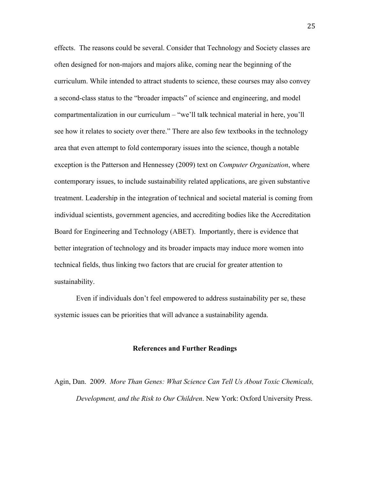effects. The reasons could be several. Consider that Technology and Society classes are often designed for non-majors and majors alike, coming near the beginning of the curriculum. While intended to attract students to science, these courses may also convey a second-class status to the "broader impacts" of science and engineering, and model compartmentalization in our curriculum – "we'll talk technical material in here, you'll see how it relates to society over there." There are also few textbooks in the technology area that even attempt to fold contemporary issues into the science, though a notable exception is the Patterson and Hennessey (2009) text on *Computer Organization*, where contemporary issues, to include sustainability related applications, are given substantive treatment. Leadership in the integration of technical and societal material is coming from individual scientists, government agencies, and accrediting bodies like the Accreditation Board for Engineering and Technology (ABET). Importantly, there is evidence that better integration of technology and its broader impacts may induce more women into technical fields, thus linking two factors that are crucial for greater attention to sustainability.

Even if individuals don't feel empowered to address sustainability per se, these systemic issues can be priorities that will advance a sustainability agenda.

#### **References and Further Readings**

Agin, Dan. 2009. *More Than Genes: What Science Can Tell Us About Toxic Chemicals, Development, and the Risk to Our Children*. New York: Oxford University Press.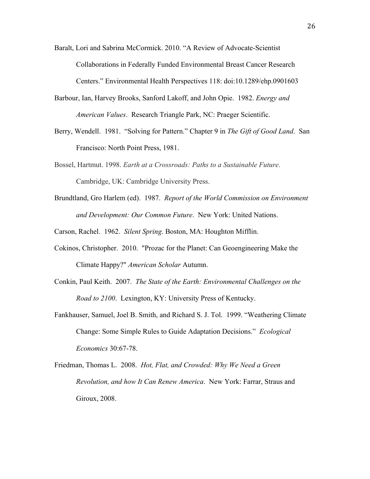- Baralt, Lori and Sabrina McCormick. 2010. "A Review of Advocate-Scientist Collaborations in Federally Funded Environmental Breast Cancer Research Centers." Environmental Health Perspectives 118: doi:10.1289/ehp.0901603
- Barbour, Ian, Harvey Brooks, Sanford Lakoff, and John Opie. 1982. *Energy and American Values*. Research Triangle Park, NC: Praeger Scientific.
- Berry, Wendell. 1981. "Solving for Pattern." Chapter 9 in *The Gift of Good Land*. San Francisco: North Point Press, 1981.
- Bossel, Hartmut. 1998. *Earth at a Crossroads: Paths to a Sustainable Future*. Cambridge, UK: Cambridge University Press.
- Brundtland, Gro Harlem (ed). 1987. *Report of the World Commission on Environment and Development: Our Common Future*. New York: United Nations.

Carson, Rachel. 1962. *Silent Spring*. Boston, MA: Houghton Mifflin.

- Cokinos, Christopher. 2010. "Prozac for the Planet: Can Geoengineering Make the Climate Happy?" *American Scholar* Autumn.
- Conkin, Paul Keith. 2007. *The State of the Earth: Environmental Challenges on the Road to 2100*. Lexington, KY: University Press of Kentucky.
- Fankhauser, Samuel, Joel B. Smith, and Richard S. J. Tol. 1999. "Weathering Climate Change: Some Simple Rules to Guide Adaptation Decisions." *Ecological Economics* 30:67-78.
- Friedman, Thomas L. 2008. *Hot, Flat, and Crowded: Why We Need a Green Revolution, and how It Can Renew America*. New York: Farrar, Straus and Giroux, 2008.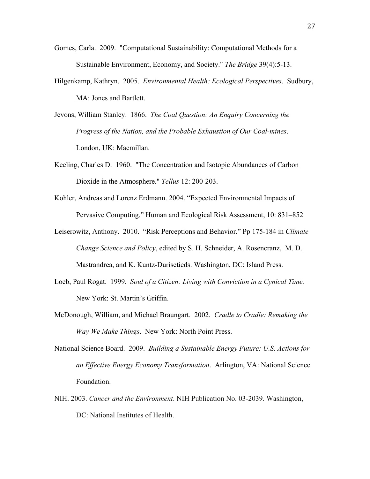- Gomes, Carla. 2009. "Computational Sustainability: Computational Methods for a Sustainable Environment, Economy, and Society." *The Bridge* 39(4):5-13.
- Hilgenkamp, Kathryn. 2005. *Environmental Health: Ecological Perspectives*. Sudbury, MA: Jones and Bartlett.
- Jevons, William Stanley. 1866. *The Coal Question: An Enquiry Concerning the Progress of the Nation, and the Probable Exhaustion of Our Coal-mines*. London, UK: Macmillan.
- Keeling, Charles D. 1960. "The Concentration and Isotopic Abundances of Carbon Dioxide in the Atmosphere." *Tellus* 12: 200-203.
- Kohler, Andreas and Lorenz Erdmann. 2004. "Expected Environmental Impacts of Pervasive Computing." Human and Ecological Risk Assessment, 10: 831–852
- Leiserowitz, Anthony. 2010. "Risk Perceptions and Behavior." Pp 175-184 in *Climate Change Science and Policy*, edited by S. H. Schneider, A. Rosencranz, M. D. Mastrandrea, and K. Kuntz-Durisetieds. Washington, DC: Island Press.
- Loeb, Paul Rogat. 1999. *Soul of a Citizen: Living with Conviction in a Cynical Time.* New York: St. Martin's Griffin.
- McDonough, William, and Michael Braungart. 2002. *Cradle to Cradle: Remaking the Way We Make Things*. New York: North Point Press.
- National Science Board. 2009. *Building a Sustainable Energy Future: U.S. Actions for an Effective Energy Economy Transformation*. Arlington, VA: National Science Foundation.
- NIH. 2003. *Cancer and the Environment*. NIH Publication No. 03-2039. Washington, DC: National Institutes of Health.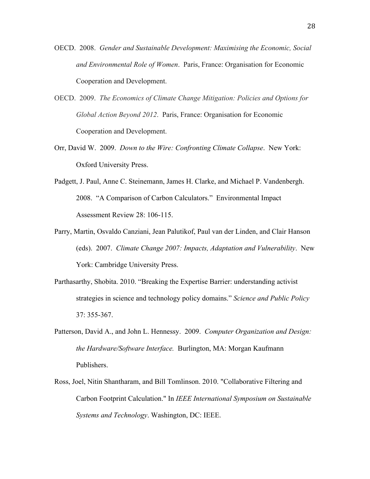- OECD. 2008. *Gender and Sustainable Development: Maximising the Economic, Social and Environmental Role of Women*. Paris, France: Organisation for Economic Cooperation and Development.
- OECD. 2009. *The Economics of Climate Change Mitigation: Policies and Options for Global Action Beyond 2012*. Paris, France: Organisation for Economic Cooperation and Development.
- Orr, David W. 2009. *Down to the Wire: Confronting Climate Collapse*. New York: Oxford University Press.
- Padgett, J. Paul, Anne C. Steinemann, James H. Clarke, and Michael P. Vandenbergh. 2008. "A Comparison of Carbon Calculators." Environmental Impact Assessment Review 28: 106-115.
- Parry, Martin, Osvaldo Canziani, Jean Palutikof, Paul van der Linden, and Clair Hanson (eds). 2007. *Climate Change 2007: Impacts, Adaptation and Vulnerability*. New York: Cambridge University Press.
- Parthasarthy, Shobita. 2010. "Breaking the Expertise Barrier: understanding activist strategies in science and technology policy domains." *Science and Public Policy* 37: 355-367.
- Patterson, David A., and John L. Hennessy. 2009. *Computer Organization and Design: the Hardware/Software Interface.* Burlington, MA: Morgan Kaufmann Publishers.
- Ross, Joel, Nitin Shantharam, and Bill Tomlinson. 2010. "Collaborative Filtering and Carbon Footprint Calculation." In *IEEE International Symposium on Sustainable Systems and Technology*. Washington, DC: IEEE.